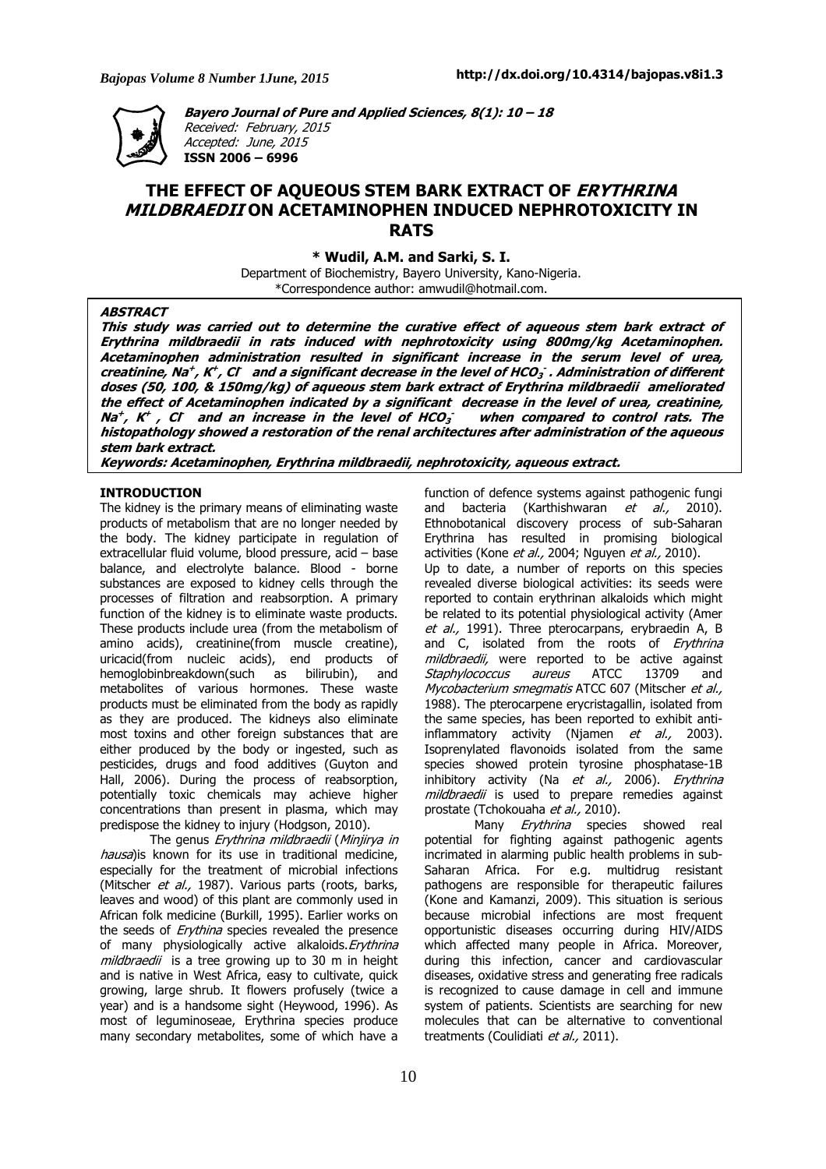

**Bayero Journal of Pure and Applied Sciences, 8(1): 10 – 18**  Received: February, 2015 Accepted: June, 2015 **ISSN 2006 – 6996** 

# **THE EFFECT OF AQUEOUS STEM BARK EXTRACT OF ERYTHRINA MILDBRAEDII ON ACETAMINOPHEN INDUCED NEPHROTOXICITY IN RATS**

**\* Wudil, A.M. and Sarki, S. I.** 

Department of Biochemistry, Bayero University, Kano-Nigeria. \*Correspondence author: amwudil@hotmail.com.

## **ABSTRACT**

**This study was carried out to determine the curative effect of aqueous stem bark extract of Erythrina mildbraedii in rats induced with nephrotoxicity using 800mg/kg Acetaminophen. Acetaminophen administration resulted in significant increase in the serum level of urea, creatinine, Na + , K + , Cl - and a significant decrease in the level of HCO<sup>3</sup> - . Administration of different doses (50, 100, & 150mg/kg) of aqueous stem bark extract of Erythrina mildbraedii ameliorated the effect of Acetaminophen indicated by a significant decrease in the level of urea, creatinine, Na + , K + , Cl - and an increase in the level of HCO<sup>3</sup> when compared to control rats. The histopathology showed a restoration of the renal architectures after administration of the aqueous stem bark extract.** 

**Keywords: Acetaminophen, Erythrina mildbraedii, nephrotoxicity, aqueous extract.** 

# **INTRODUCTION**

The kidney is the primary means of eliminating waste products of metabolism that are no longer needed by the body. The kidney participate in regulation of extracellular fluid volume, blood pressure, acid – base balance, and electrolyte balance. Blood - borne substances are exposed to kidney cells through the processes of filtration and reabsorption. A primary function of the kidney is to eliminate waste products. These products include urea (from the metabolism of amino acids), creatinine(from muscle creatine), uricacid(from nucleic acids), end products of hemoglobinbreakdown(such as bilirubin), and metabolites of various hormones. These waste products must be eliminated from the body as rapidly as they are produced. The kidneys also eliminate most toxins and other foreign substances that are either produced by the body or ingested, such as pesticides, drugs and food additives (Guyton and Hall, 2006). During the process of reabsorption, potentially toxic chemicals may achieve higher concentrations than present in plasma, which may predispose the kidney to injury (Hodgson, 2010).

The genus Erythrina mildbraedii (Minjirya in hausa)is known for its use in traditional medicine, especially for the treatment of microbial infections (Mitscher et al., 1987). Various parts (roots, barks, leaves and wood) of this plant are commonly used in African folk medicine (Burkill, 1995). Earlier works on the seeds of *Erythina* species revealed the presence of many physiologically active alkaloids. Erythrina mildbraedii is a tree growing up to 30 m in height and is native in West Africa, easy to cultivate, quick growing, large shrub. It flowers profusely (twice a year) and is a handsome sight (Heywood, 1996). As most of leguminoseae, Erythrina species produce many secondary metabolites, some of which have a

function of defence systems against pathogenic fungi and bacteria (Karthishwaran  $et$  al., 2010). Ethnobotanical discovery process of sub-Saharan Erythrina has resulted in promising biological activities (Kone et al., 2004; Nguyen et al., 2010). Up to date, a number of reports on this species revealed diverse biological activities: its seeds were reported to contain erythrinan alkaloids which might be related to its potential physiological activity (Amer et al., 1991). Three pterocarpans, erybraedin A, B and C, isolated from the roots of Erythrina mildbraedii, were reported to be active against Staphylococcus aureus ATCC 13709 and Mycobacterium smegmatis ATCC 607 (Mitscher et al., 1988). The pterocarpene erycristagallin, isolated from the same species, has been reported to exhibit antiinflammatory activity (Njamen et al., 2003). Isoprenylated flavonoids isolated from the same species showed protein tyrosine phosphatase-1B inhibitory activity (Na et al., 2006). Erythrina mildbraedii is used to prepare remedies against prostate (Tchokouaha et al., 2010).

Many *Erythrina* species showed real potential for fighting against pathogenic agents incrimated in alarming public health problems in sub-Saharan Africa. For e.g. multidrug resistant pathogens are responsible for therapeutic failures (Kone and Kamanzi, 2009). This situation is serious because microbial infections are most frequent opportunistic diseases occurring during HIV/AIDS which affected many people in Africa. Moreover, during this infection, cancer and cardiovascular diseases, oxidative stress and generating free radicals is recognized to cause damage in cell and immune system of patients. Scientists are searching for new molecules that can be alternative to conventional treatments (Coulidiati et al., 2011).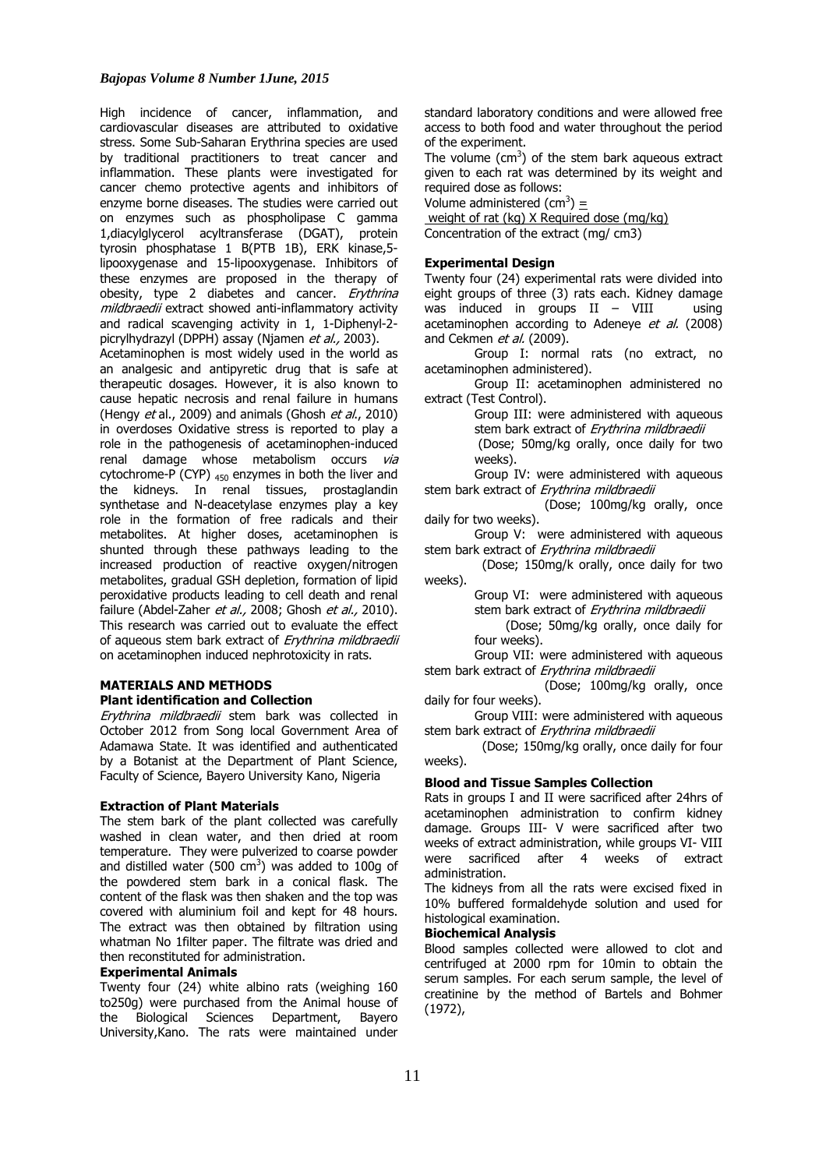High incidence of cancer, inflammation, and cardiovascular diseases are attributed to oxidative stress. Some Sub-Saharan Erythrina species are used by traditional practitioners to treat cancer and inflammation. These plants were investigated for cancer chemo protective agents and inhibitors of enzyme borne diseases. The studies were carried out on enzymes such as phospholipase C gamma 1,diacylglycerol acyltransferase (DGAT), protein tyrosin phosphatase 1 B(PTB 1B), ERK kinase,5 lipooxygenase and 15-lipooxygenase. Inhibitors of these enzymes are proposed in the therapy of obesity, type 2 diabetes and cancer. Erythrina mildbraedii extract showed anti-inflammatory activity and radical scavenging activity in 1, 1-Diphenyl-2 picrylhydrazyl (DPPH) assay (Njamen et al., 2003).

Acetaminophen is most widely used in the world as an analgesic and antipyretic drug that is safe at therapeutic dosages. However, it is also known to cause hepatic necrosis and renal failure in humans (Hengy et al., 2009) and animals (Ghosh et al., 2010) in overdoses Oxidative stress is reported to play a role in the pathogenesis of acetaminophen-induced renal damage whose metabolism occurs via cytochrome-P (CYP)  $_{450}$  enzymes in both the liver and the kidneys. In renal tissues, prostaglandin synthetase and N-deacetylase enzymes play a key role in the formation of free radicals and their metabolites. At higher doses, acetaminophen is shunted through these pathways leading to the increased production of reactive oxygen/nitrogen metabolites, gradual GSH depletion, formation of lipid peroxidative products leading to cell death and renal failure (Abdel-Zaher et al., 2008; Ghosh et al., 2010). This research was carried out to evaluate the effect of aqueous stem bark extract of Erythrina mildbraedii on acetaminophen induced nephrotoxicity in rats.

### **MATERIALS AND METHODS Plant identification and Collection**

Erythrina mildbraedii stem bark was collected in October 2012 from Song local Government Area of Adamawa State. It was identified and authenticated by a Botanist at the Department of Plant Science, Faculty of Science, Bayero University Kano, Nigeria

### **Extraction of Plant Materials**

The stem bark of the plant collected was carefully washed in clean water, and then dried at room temperature. They were pulverized to coarse powder and distilled water (500 cm<sup>3</sup>) was added to 100g of the powdered stem bark in a conical flask. The content of the flask was then shaken and the top was covered with aluminium foil and kept for 48 hours. The extract was then obtained by filtration using whatman No 1filter paper. The filtrate was dried and then reconstituted for administration.

#### **Experimental Animals**

Twenty four (24) white albino rats (weighing 160 to250g) were purchased from the Animal house of the Biological Sciences Department, Bayero University,Kano. The rats were maintained under

standard laboratory conditions and were allowed free access to both food and water throughout the period of the experiment.

The volume ( $\text{cm}^3$ ) of the stem bark aqueous extract given to each rat was determined by its weight and required dose as follows:

Volume administered (cm<sup>3</sup>) =

 weight of rat (kg) X Required dose (mg/kg) Concentration of the extract (mg/ cm3)

# **Experimental Design**

Twenty four (24) experimental rats were divided into eight groups of three (3) rats each. Kidney damage was induced in groups  $II - VIII$  using acetaminophen according to Adeneye et al. (2008) and Cekmen et al. (2009).

Group I: normal rats (no extract, no acetaminophen administered).

Group II: acetaminophen administered no extract (Test Control).

> Group III: were administered with aqueous stem bark extract of Erythrina mildbraedii

 (Dose; 50mg/kg orally, once daily for two weeks).

Group IV: were administered with aqueous stem bark extract of Erythrina mildbraedii

 (Dose; 100mg/kg orally, once daily for two weeks).

Group V: were administered with aqueous stem bark extract of Erythrina mildbraedii

 (Dose; 150mg/k orally, once daily for two weeks).

Group VI: were administered with aqueous stem bark extract of Erythrina mildbraedii (Dose; 50mg/kg orally, once daily for

four weeks).

Group VII: were administered with aqueous stem bark extract of Erythrina mildbraedii

 (Dose; 100mg/kg orally, once daily for four weeks).

Group VIII: were administered with aqueous stem bark extract of Erythrina mildbraedii

 (Dose; 150mg/kg orally, once daily for four weeks).

#### **Blood and Tissue Samples Collection**

Rats in groups I and II were sacrificed after 24hrs of acetaminophen administration to confirm kidney damage. Groups III- V were sacrificed after two weeks of extract administration, while groups VI- VIII were sacrificed after 4 weeks of extract administration.

The kidneys from all the rats were excised fixed in 10% buffered formaldehyde solution and used for histological examination.

## **Biochemical Analysis**

Blood samples collected were allowed to clot and centrifuged at 2000 rpm for 10min to obtain the serum samples. For each serum sample, the level of creatinine by the method of Bartels and Bohmer (1972),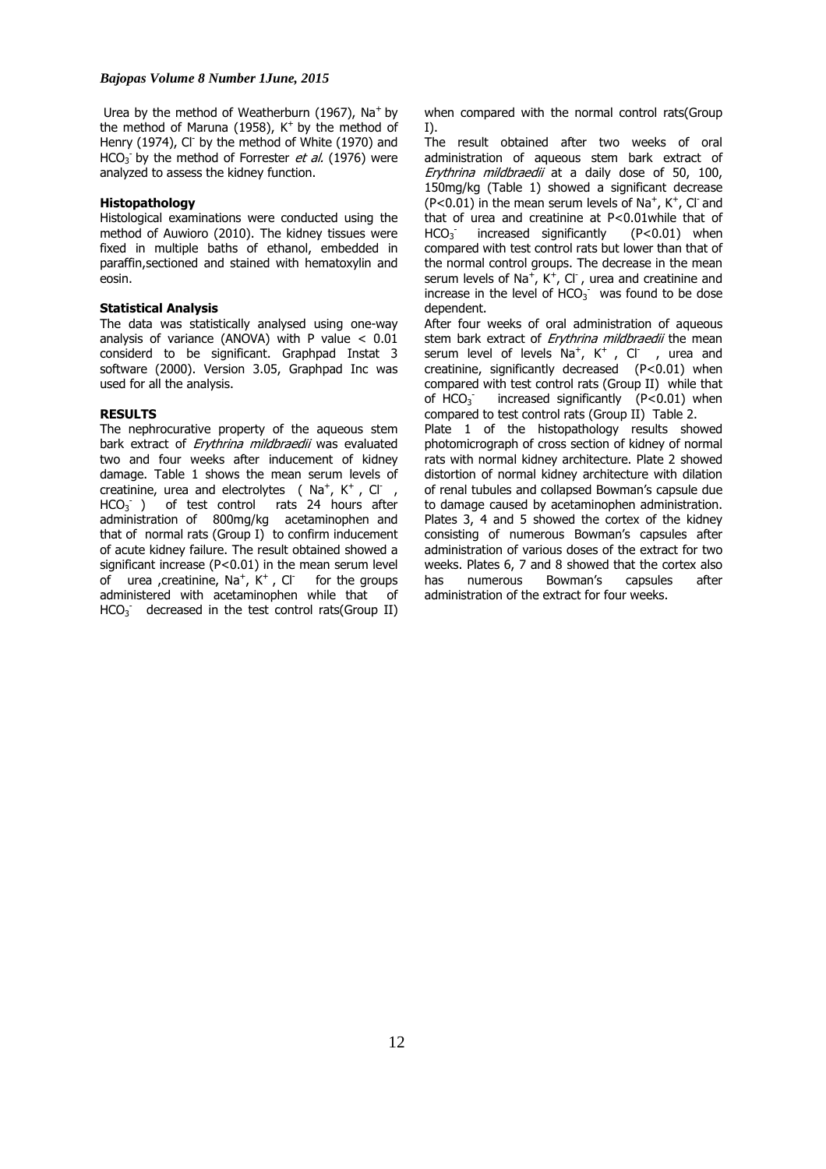Urea by the method of Weatherburn (1967),  $Na<sup>+</sup>$  by the method of Maruna (1958),  $K^+$  by the method of Henry (1974), Cl<sup>-</sup> by the method of White (1970) and HCO<sub>3</sub> by the method of Forrester et al. (1976) were analyzed to assess the kidney function.

### **Histopathology**

Histological examinations were conducted using the method of Auwioro (2010). The kidney tissues were fixed in multiple baths of ethanol, embedded in paraffin,sectioned and stained with hematoxylin and eosin.

### **Statistical Analysis**

The data was statistically analysed using one-way analysis of variance (ANOVA) with P value  $< 0.01$ considerd to be significant. Graphpad Instat 3 software (2000). Version 3.05, Graphpad Inc was used for all the analysis.

# **RESULTS**

The nephrocurative property of the aqueous stem bark extract of *Erythrina mildbraedii* was evaluated two and four weeks after inducement of kidney damage. Table 1 shows the mean serum levels of creatinine, urea and electrolytes ( $Na^{+}$ , K<sup>+</sup>, Cl<sup>-</sup>,  $HCO<sub>3</sub>$  ) of test control rats 24 hours after administration of 800mg/kg acetaminophen and that of normal rats (Group I) to confirm inducement of acute kidney failure. The result obtained showed a significant increase (P<0.01) in the mean serum level of urea , creatinine,  $Na^+$ ,  $K^+$ , Cl<sup>-</sup> for the groups administered with acetaminophen while that of  $HCO<sub>3</sub>$  decreased in the test control rats(Group II) when compared with the normal control rats(Group I).

The result obtained after two weeks of oral administration of aqueous stem bark extract of Erythrina mildbraedii at a daily dose of 50, 100, 150mg/kg (Table 1) showed a significant decrease  $(P<0.01)$  in the mean serum levels of Na<sup>+</sup>, K<sup>+</sup>, Cl<sup>-</sup> and that of urea and creatinine at P<0.01while that of  $HCO<sub>3</sub>$  $increased$  significantly  $(P<0.01)$  when compared with test control rats but lower than that of the normal control groups. The decrease in the mean serum levels of Na<sup>+</sup>, K<sup>+</sup>, Cl<sup>-</sup>, urea and creatinine and increase in the level of  $HCO<sub>3</sub>$  was found to be dose dependent.

After four weeks of oral administration of aqueous stem bark extract of *Erythrina mildbraedii* the mean serum level of levels  $Na^{+}$ , K<sup>+</sup>, Cl<sup>-</sup>, urea and creatinine, significantly decreased (P<0.01) when compared with test control rats (Group II) while that of HCO<sub>3</sub> increased significantly  $(P<0.01)$  when compared to test control rats (Group II) Table 2.

Plate 1 of the histopathology results showed photomicrograph of cross section of kidney of normal rats with normal kidney architecture. Plate 2 showed distortion of normal kidney architecture with dilation of renal tubules and collapsed Bowman's capsule due to damage caused by acetaminophen administration. Plates 3, 4 and 5 showed the cortex of the kidney consisting of numerous Bowman's capsules after administration of various doses of the extract for two weeks. Plates 6, 7 and 8 showed that the cortex also has numerous Bowman's capsules after administration of the extract for four weeks.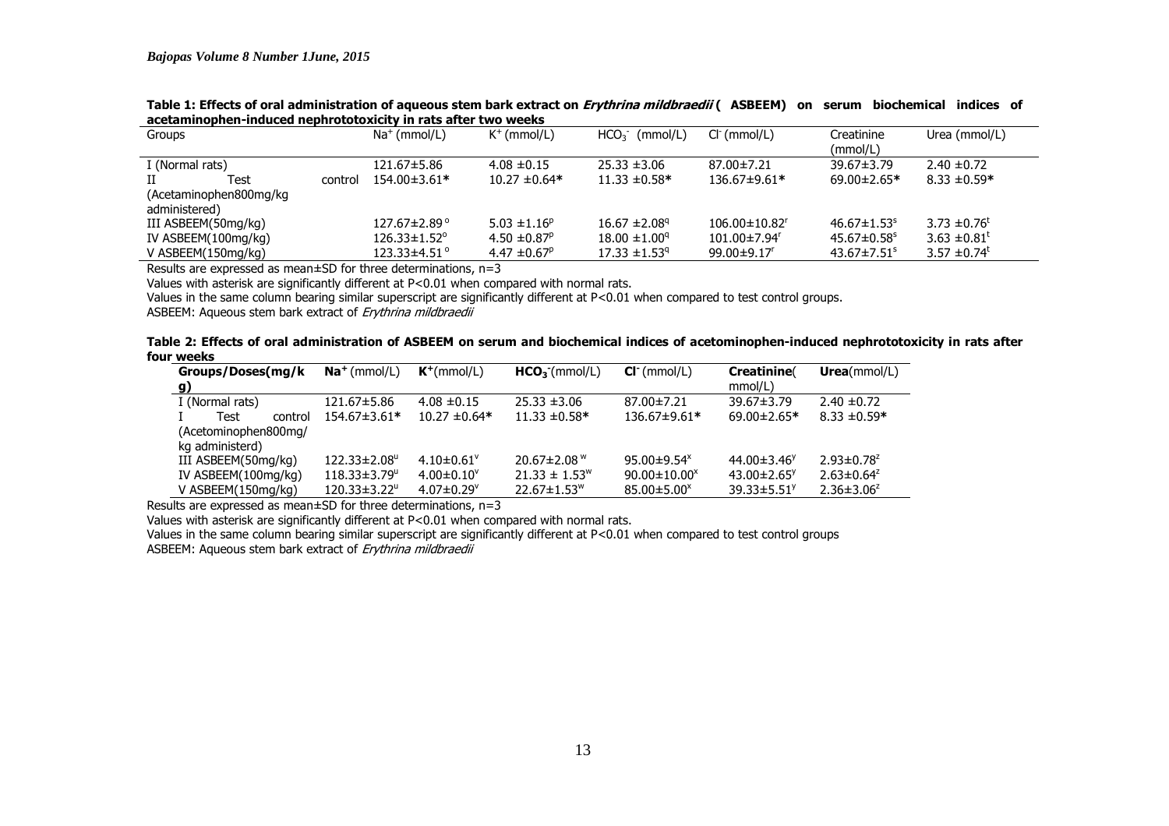| Groups                  |         | $Na+$ (mmol/L)                 | $K^+$ (mmol/L)               | $HCO3$ (mmol/L)               | $Cl^-(mmol/L)$                  | Creatinine<br>(mmol/L)        | Urea (mmol/L)                |
|-------------------------|---------|--------------------------------|------------------------------|-------------------------------|---------------------------------|-------------------------------|------------------------------|
|                         |         |                                |                              |                               |                                 |                               |                              |
| I (Normal rats)         |         | 121.67±5.86                    | $4.08 \pm 0.15$              | $25.33 \pm 3.06$              | 87.00±7.21                      | $39.67 \pm 3.79$              | $2.40 \pm 0.72$              |
| Test                    | control | 154.00±3.61*                   | $10.27 \pm 0.64*$            | $11.33 \pm 0.58*$             | 136.67±9.61*                    | $69.00 \pm 2.65*$             | $8.33 \pm 0.59*$             |
| (Acetaminophen800mg/kg) |         |                                |                              |                               |                                 |                               |                              |
| administered)           |         |                                |                              |                               |                                 |                               |                              |
| III ASBEEM(50mg/kg)     |         | $127.67 \pm 2.89$ °            | 5.03 $\pm$ 1.16 <sup>p</sup> | $16.67 \pm 2.08$ <sup>q</sup> | $106.00 \pm 10.82$ <sup>r</sup> | $46.67 \pm 1.53$ <sup>s</sup> | 3.73 $\pm$ 0.76 <sup>t</sup> |
| IV ASBEEM(100mg/kg)     |         | $126.33 \pm 1.52$ <sup>o</sup> | $4.50 \pm 0.87^{\circ}$      | $18.00 \pm 1.00^9$            | $101.00 \pm 7.94$ <sup>r</sup>  | $45.67 \pm 0.58$ <sup>s</sup> | 3.63 $\pm 0.81^{\text{t}}$   |
| V ASBEEM(150mg/kg)      |         | $123.33\pm4.51^{\circ}$        | 4.47 $\pm$ 0.67 <sup>p</sup> | $17.33 \pm 1.53$ <sup>q</sup> | $99.00 \pm 9.17$ <sup>r</sup>   | $43.67 \pm 7.51$ <sup>s</sup> | 3.57 $\pm$ 0.74 <sup>t</sup> |
|                         |         |                                |                              |                               |                                 |                               |                              |

**Table 1: Effects of oral administration of aqueous stem bark extract on Erythrina mildbraedii ( ASBEEM) on serum biochemical indices of acetaminophen-induced nephrototoxicity in rats after two weeks** 

Results are expressed as mean±SD for three determinations, n=3

Values with asterisk are significantly different at P<0.01 when compared with normal rats.

Values in the same column bearing similar superscript are significantly different at P<0.01 when compared to test control groups.

ASBEEM: Aqueous stem bark extract of *Erythrina mildbraedii* 

|            |  | Table 2: Effects of oral administration of ASBEEM on serum and biochemical indices of acetominophen-induced nephrototoxicity in rats after |  |
|------------|--|--------------------------------------------------------------------------------------------------------------------------------------------|--|
| four weeks |  |                                                                                                                                            |  |

| Groups/Doses(mg/k         | $Na+$ (mmol/L)                 | $K^+(mmol/L)$                | $HCO3$ (mmol/L)                | $Cl^-(mmol/L)$                 | Creatinine                    | Urea(mmol/L)      |
|---------------------------|--------------------------------|------------------------------|--------------------------------|--------------------------------|-------------------------------|-------------------|
| g)                        |                                |                              |                                |                                | mmol/L)                       |                   |
| I (Normal rats)           | 121.67±5.86                    | $4.08 \pm 0.15$              | $25.33 \pm 3.06$               | 87.00±7.21                     | $39.67 \pm 3.79$              | $2.40 \pm 0.72$   |
| Test<br>control           | 154.67±3.61*                   | $10.27 \pm 0.64*$            | $11.33 \pm 0.58*$              | 136.67±9.61*                   | $69.00 \pm 2.65*$             | $8.33 \pm 0.59*$  |
| (Acetominophen800mg/      |                                |                              |                                |                                |                               |                   |
| kg administerd)           |                                |                              |                                |                                |                               |                   |
| III ASBEEM(50mg/kg)       | $122.33 \pm 2.08^{\circ}$      | $4.10\pm0.61$ <sup>V</sup>   | 20.67 $\pm$ 2.08 $\mathrm{^w}$ | 95.00 $\pm$ 9.54 $^{\text{x}}$ | 44.00 $\pm$ 3.46 <sup>y</sup> | $2.93 \pm 0.78^z$ |
| IV ASBEEM(100mg/kg)       | $118.33 \pm 3.79$ <sup>u</sup> | $4.00 \pm 0.10^{\circ}$      | $21.33 \pm 1.53^{\circ}$       | $90.00 \pm 10.00^x$            | $43.00 \pm 2.65$ <sup>y</sup> | $2.63 \pm 0.64^z$ |
| V ASBEEM $(150$ mg/kg $)$ | $120.33 \pm 3.22$              | $4.07 \pm 0.29$ <sup>v</sup> | $22.67 \pm 1.53$ <sup>w</sup>  | $85.00 \pm 5.00^{\circ}$       | $39.33 \pm 5.51$ <sup>y</sup> | $2.36 \pm 3.06^z$ |

Results are expressed as mean±SD for three determinations, n=3

Values with asterisk are significantly different at P<0.01 when compared with normal rats.

 Values in the same column bearing similar superscript are significantly different at P<0.01 when compared to test control groups ASBEEM: Aqueous stem bark extract of *Erythrina mildbraedii*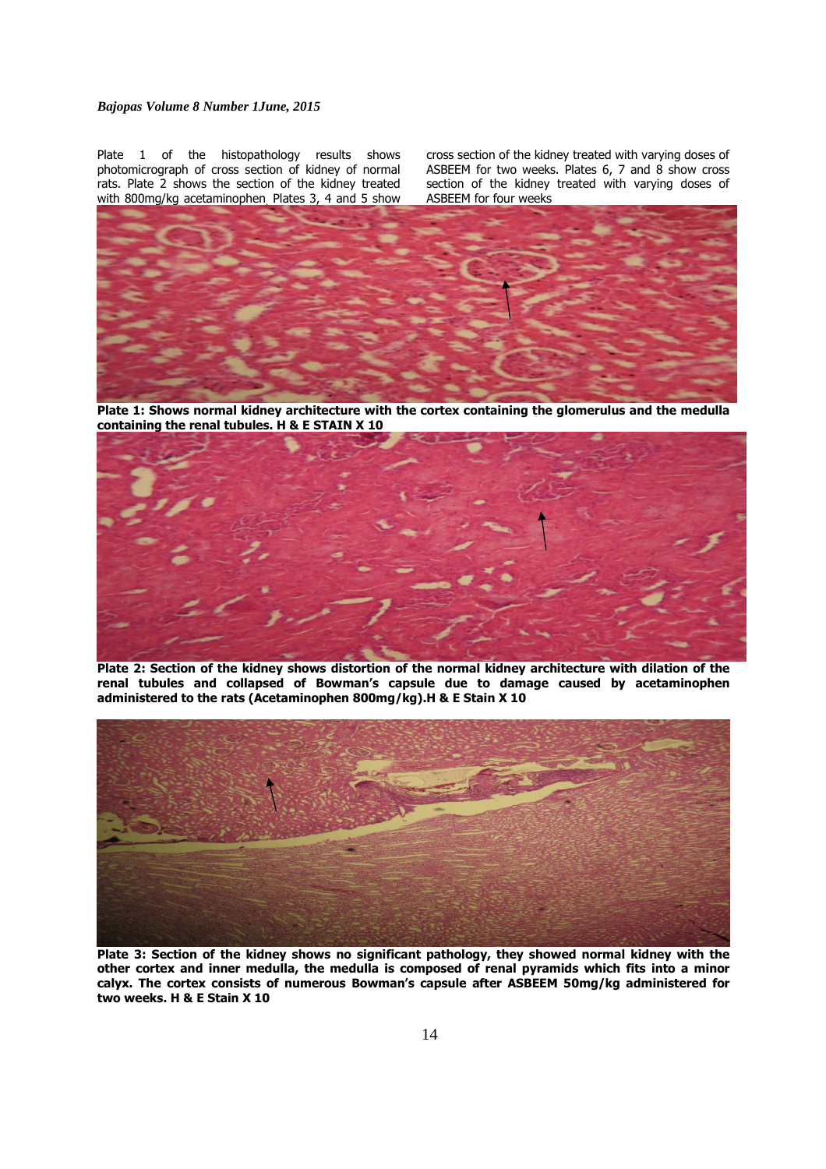# *Bajopas Volume 8 Number 1June, 2015*

Plate 1 of the histopathology results shows photomicrograph of cross section of kidney of normal rats. Plate 2 shows the section of the kidney treated with 800mg/kg acetaminophen. Plates 3, 4 and 5 show cross section of the kidney treated with varying doses of ASBEEM for two weeks. Plates 6, 7 and 8 show cross section of the kidney treated with varying doses of ASBEEM for four weeks



**Plate 1: Shows normal kidney architecture with the cortex containing the glomerulus and the medulla containing the renal tubules. H & E STAIN X 10**



**Plate 2: Section of the kidney shows distortion of the normal kidney architecture with dilation of the renal tubules and collapsed of Bowman's capsule due to damage caused by acetaminophen administered to the rats (Acetaminophen 800mg/kg).H & E Stain X 10** 



**Plate 3: Section of the kidney shows no significant pathology, they showed normal kidney with the other cortex and inner medulla, the medulla is composed of renal pyramids which fits into a minor calyx. The cortex consists of numerous Bowman's capsule after ASBEEM 50mg/kg administered for two weeks. H & E Stain X 10**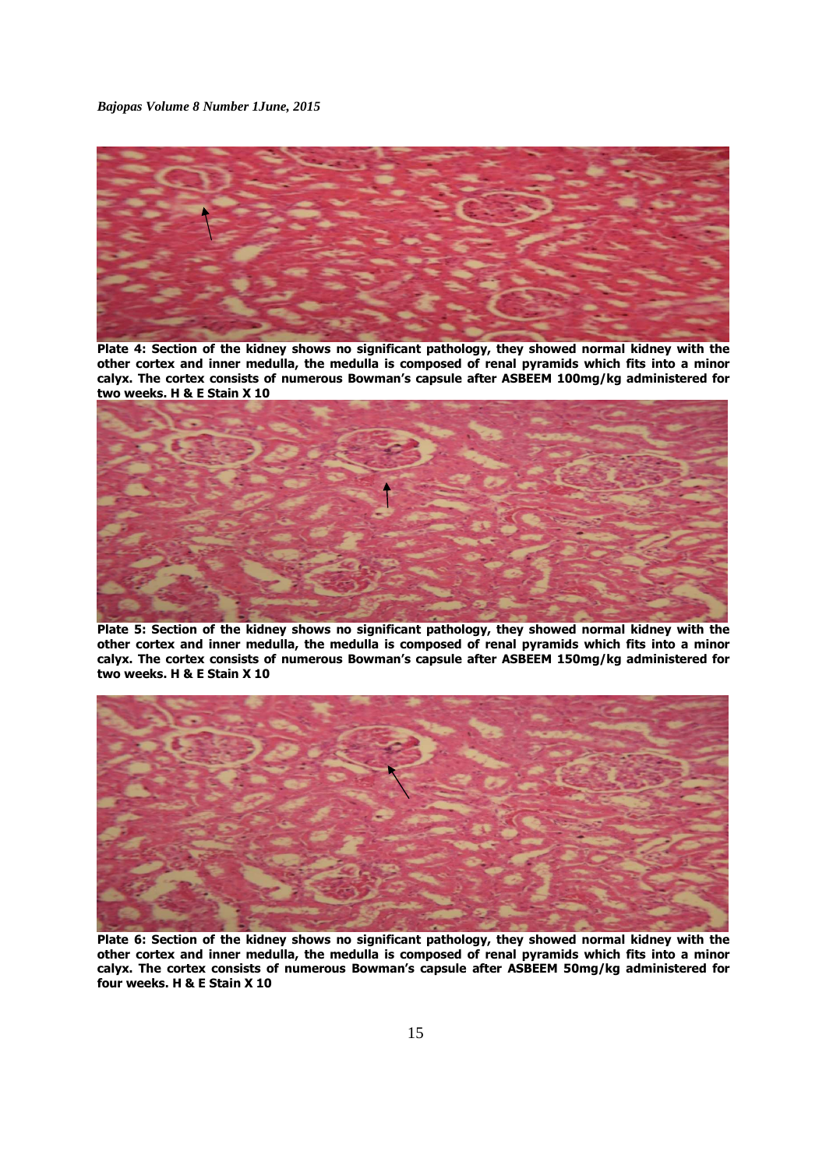

Plate 4: Section of the kidney shows no significant pathology, they showed normal kidney with the **other cortex and inner medulla, the medulla is composed of renal pyramids which fits into a minor calyx. The cortex consists of numerous Bowman's capsule after ASBEEM 100mg/kg administered for two weeks. H & E Stain X 10** 



Plate 5: Section of the kidney shows no significant pathology, they showed normal kidney with the **other cortex and inner medulla, the medulla is composed of renal pyramids which fits into a minor calyx. The cortex consists of numerous Bowman's capsule after ASBEEM 150mg/kg administered for two weeks. H & E Stain X 10** 



Plate 6: Section of the kidney shows no significant pathology, they showed normal kidney with the **other cortex and inner medulla, the medulla is composed of renal pyramids which fits into a minor calyx. The cortex consists of numerous Bowman's capsule after ASBEEM 50mg/kg administered for four weeks. H & E Stain X 10**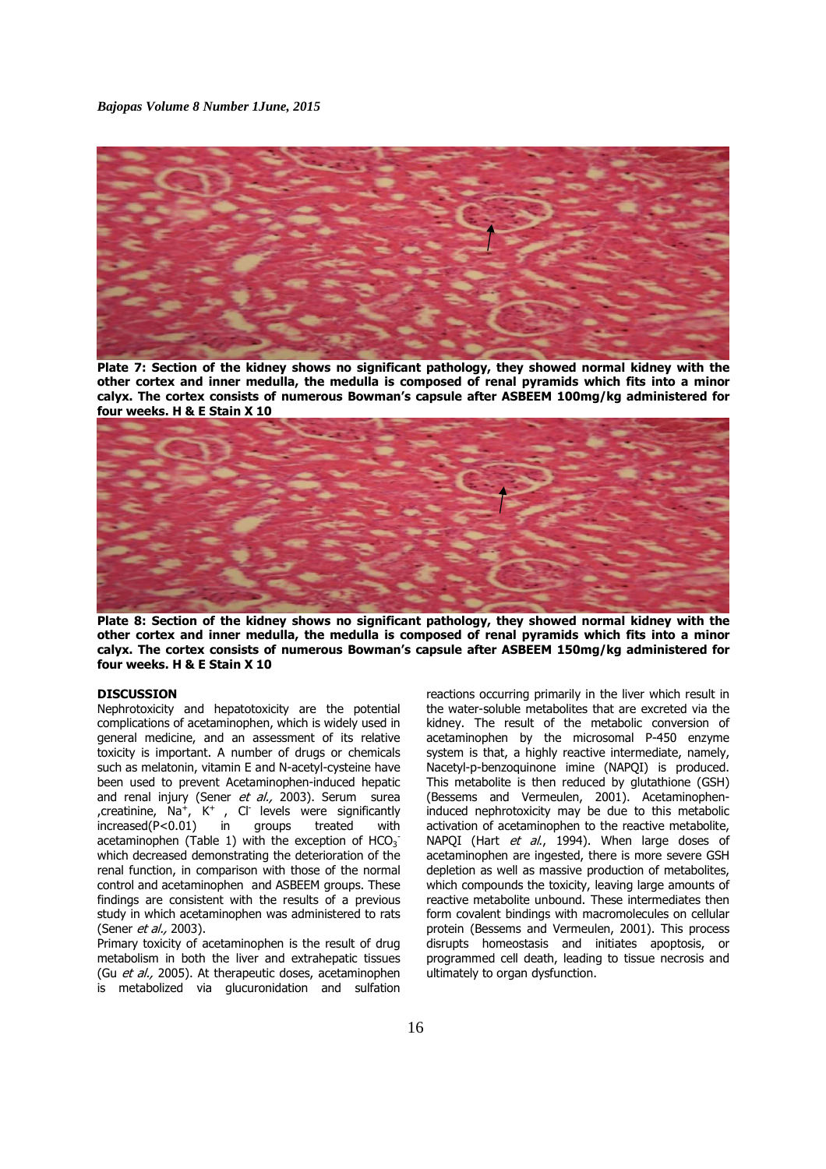

**Plate 7: Section of the kidney shows no significant pathology, they showed normal kidney with the other cortex and inner medulla, the medulla is composed of renal pyramids which fits into a minor calyx. The cortex consists of numerous Bowman's capsule after ASBEEM 100mg/kg administered for four weeks. H & E Stain X 10** 



**Plate 8: Section of the kidney shows no significant pathology, they showed normal kidney with the other cortex and inner medulla, the medulla is composed of renal pyramids which fits into a minor calyx. The cortex consists of numerous Bowman's capsule after ASBEEM 150mg/kg administered for four weeks. H & E Stain X 10** 

# **DISCUSSION**

Nephrotoxicity and hepatotoxicity are the potential complications of acetaminophen, which is widely used in general medicine, and an assessment of its relative toxicity is important. A number of drugs or chemicals such as melatonin, vitamin E and N-acetyl-cysteine have been used to prevent Acetaminophen-induced hepatic and renal injury (Sener et al., 2003). Serum surea , creatinine,  $\text{Na}^+$ , K<sup>+</sup>, Cl<sup>-</sup> levels were significantly increased(P<0.01) in groups treated with acetaminophen (Table 1) with the exception of  $HCO_3^$ which decreased demonstrating the deterioration of the renal function, in comparison with those of the normal control and acetaminophen and ASBEEM groups. These findings are consistent with the results of a previous study in which acetaminophen was administered to rats (Sener *et al.*, 2003).

Primary toxicity of acetaminophen is the result of drug metabolism in both the liver and extrahepatic tissues (Gu et al., 2005). At therapeutic doses, acetaminophen is metabolized via glucuronidation and sulfation reactions occurring primarily in the liver which result in the water-soluble metabolites that are excreted via the kidney. The result of the metabolic conversion of acetaminophen by the microsomal P-450 enzyme system is that, a highly reactive intermediate, namely, Nacetyl-p-benzoquinone imine (NAPQI) is produced. This metabolite is then reduced by glutathione (GSH) (Bessems and Vermeulen, 2001). Acetaminopheninduced nephrotoxicity may be due to this metabolic activation of acetaminophen to the reactive metabolite, NAPQI (Hart et al., 1994). When large doses of acetaminophen are ingested, there is more severe GSH depletion as well as massive production of metabolites, which compounds the toxicity, leaving large amounts of reactive metabolite unbound. These intermediates then form covalent bindings with macromolecules on cellular protein (Bessems and Vermeulen, 2001). This process disrupts homeostasis and initiates apoptosis, or programmed cell death, leading to tissue necrosis and ultimately to organ dysfunction.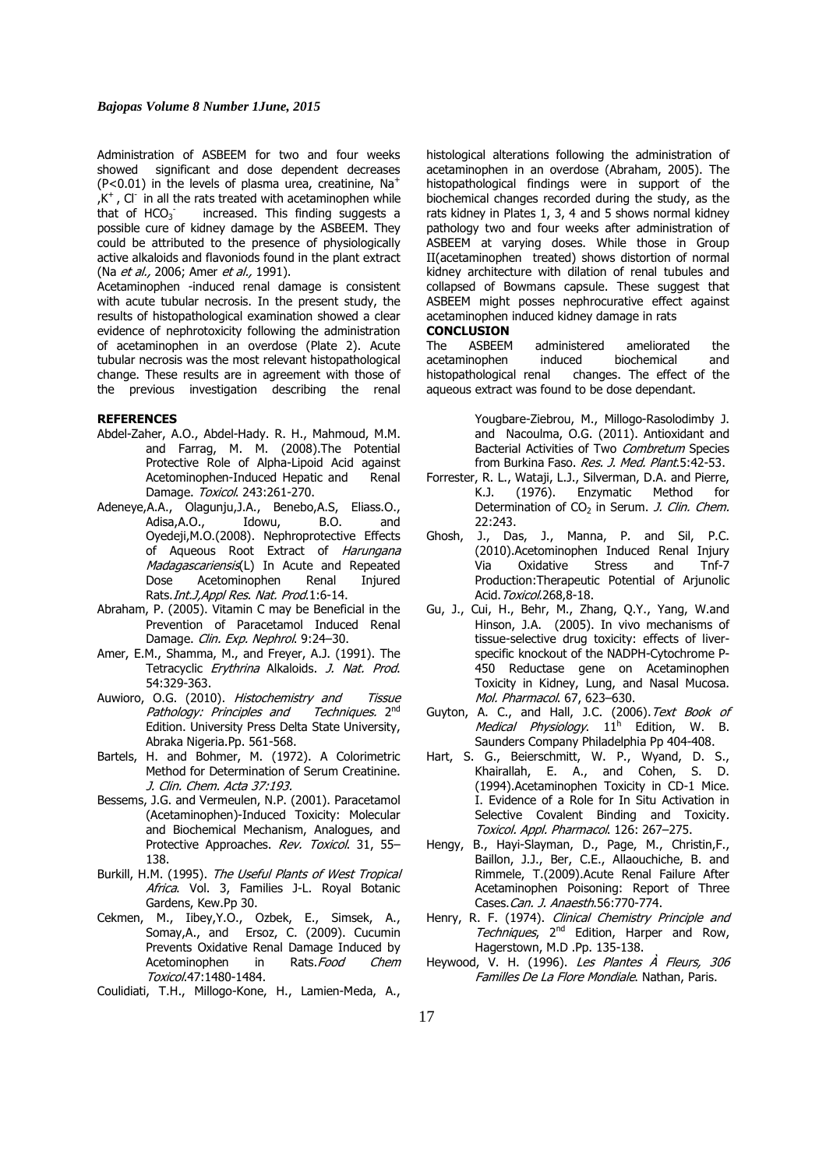Administration of ASBEEM for two and four weeks showed significant and dose dependent decreases (P<0.01) in the levels of plasma urea, creatinine,  $Na<sup>+</sup>$  $,K^+$ , Cl<sup>-</sup> in all the rats treated with acetaminophen while that of  $HCO<sub>3</sub>$ <sup>-</sup> increased. This finding suggests a possible cure of kidney damage by the ASBEEM. They could be attributed to the presence of physiologically active alkaloids and flavoniods found in the plant extract (Na et al., 2006; Amer et al., 1991).

Acetaminophen -induced renal damage is consistent with acute tubular necrosis. In the present study, the results of histopathological examination showed a clear evidence of nephrotoxicity following the administration of acetaminophen in an overdose (Plate 2). Acute tubular necrosis was the most relevant histopathological change. These results are in agreement with those of the previous investigation describing the renal

# **REFERENCES**

- Abdel-Zaher, A.O., Abdel-Hady. R. H., Mahmoud, M.M. and Farrag, M. M. (2008).The Potential Protective Role of Alpha-Lipoid Acid against Acetominophen-Induced Hepatic and Renal Damage. Toxicol. 243:261-270.
- Adeneye,A.A., Olagunju,J.A., Benebo,A.S, Eliass.O., Adisa,A.O., Idowu, B.O. and Oyedeji,M.O.(2008). Nephroprotective Effects of Aqueous Root Extract of Harungana Madagascariensis(L) In Acute and Repeated Dose Acetominophen Renal Injured Rats.Int.J,Appl Res. Nat. Prod.1:6-14.
- Abraham, P. (2005). Vitamin C may be Beneficial in the Prevention of Paracetamol Induced Renal Damage. Clin. Exp. Nephrol. 9:24-30.
- Amer, E.M., Shamma, M., and Freyer, A.J. (1991). The Tetracyclic Erythrina Alkaloids. J. Nat. Prod. 54:329-363.
- Auwioro, O.G. (2010). Histochemistry and Tissue Pathology: Principles and Techniques. 2<sup>nd</sup> Edition. University Press Delta State University, Abraka Nigeria.Pp. 561-568.
- Bartels, H. and Bohmer, M. (1972). A Colorimetric Method for Determination of Serum Creatinine. J. Clin. Chem. Acta 37:193.
- Bessems, J.G. and Vermeulen, N.P. (2001). Paracetamol (Acetaminophen)-Induced Toxicity: Molecular and Biochemical Mechanism, Analogues, and Protective Approaches. Rev. Toxicol. 31, 55-138.
- Burkill, H.M. (1995). The Useful Plants of West Tropical Africa. Vol. 3, Families J-L. Royal Botanic Gardens, Kew.Pp 30.
- Cekmen, M., Iibey,Y.O., Ozbek, E., Simsek, A., Somay,A., and Ersoz, C. (2009). Cucumin Prevents Oxidative Renal Damage Induced by Acetominophen in Rats. Food Chem Toxicol.47:1480-1484.
- Coulidiati, T.H., Millogo-Kone, H., Lamien-Meda, A.,

histological alterations following the administration of acetaminophen in an overdose (Abraham, 2005). The histopathological findings were in support of the biochemical changes recorded during the study, as the rats kidney in Plates 1, 3, 4 and 5 shows normal kidney pathology two and four weeks after administration of ASBEEM at varying doses. While those in Group II(acetaminophen treated) shows distortion of normal kidney architecture with dilation of renal tubules and collapsed of Bowmans capsule. These suggest that ASBEEM might posses nephrocurative effect against acetaminophen induced kidney damage in rats

# **CONCLUSION**

The ASBEEM administered ameliorated the acetaminophen induced biochemical and histopathological renal changes. The effect of the aqueous extract was found to be dose dependant.

> Yougbare-Ziebrou, M., Millogo-Rasolodimby J. and Nacoulma, O.G. (2011). Antioxidant and Bacterial Activities of Two Combretum Species from Burkina Faso. Res. J. Med. Plant.5:42-53.

- Forrester, R. L., Wataji, L.J., Silverman, D.A. and Pierre,<br>K.J. (1976). Enzymatic Method for K.J. (1976). Enzymatic Method for Determination of  $CO<sub>2</sub>$  in Serum. *J. Clin. Chem.* 22:243.
- Ghosh, J., Das, J., Manna, P. and Sil, P.C. (2010).Acetominophen Induced Renal Injury Via Oxidative Stress and Tnf-7 Production:Therapeutic Potential of Arjunolic Acid. Toxicol. 268, 8-18.
- Gu, J., Cui, H., Behr, M., Zhang, Q.Y., Yang, W.and Hinson, J.A. (2005). In vivo mechanisms of tissue-selective drug toxicity: effects of liverspecific knockout of the NADPH-Cytochrome P-450 Reductase gene on Acetaminophen Toxicity in Kidney, Lung, and Nasal Mucosa. Mol. Pharmacol. 67, 623–630.
- Guyton, A. C., and Hall, J.C. (2006). Text Book of Medical Physiology. 11<sup>h</sup> Edition, W. B. Saunders Company Philadelphia Pp 404-408.
- Hart, S. G., Beierschmitt, W. P., Wyand, D. S., Khairallah, E. A., and Cohen, S. D. (1994).Acetaminophen Toxicity in CD-1 Mice. I. Evidence of a Role for In Situ Activation in Selective Covalent Binding and Toxicity. Toxicol. Appl. Pharmacol. 126: 267–275.
- Hengy, B., Hayi-Slayman, D., Page, M., Christin,F., Baillon, J.J., Ber, C.E., Allaouchiche, B. and Rimmele, T.(2009).Acute Renal Failure After Acetaminophen Poisoning: Report of Three Cases.Can. J. Anaesth.56:770-774.
- Henry, R. F. (1974). Clinical Chemistry Principle and Techniques, 2<sup>nd</sup> Edition, Harper and Row, Hagerstown, M.D .Pp. 135-138.
- Heywood, V. H. (1996). Les Plantes À Fleurs, 306 Familles De La Flore Mondiale. Nathan, Paris.